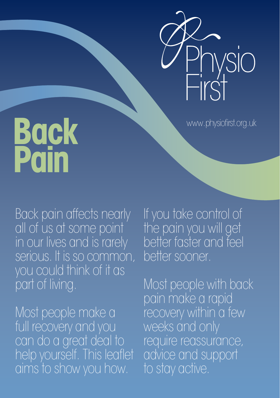

www.physiofirst.org.uk

# **Back Pain**

Back pain affects nearly all of us at some point in our lives and is rarely serious. It is so common, you could think of it as part of living.

Most people make a full recovery and you can do a great deal to help yourself. This leaflet aims to show you how.

If you take control of the pain you will get better faster and feel better sooner.

Most people with back pain make a rapid recovery within a few weeks and only require reassurance, advice and support to stay active.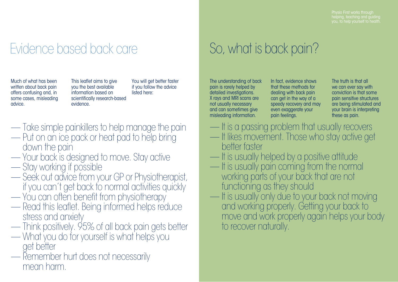## Evidence based back care So, what is back pain?

Much of what has been written about back pain offers confusing and, in some cases, misleading advice.

This leaflet aims to give you the best available information based on scientifically research-based evidence.

You will get better faster if you follow the advice listed here:

- Take simple painkillers to help manage the pain
- Put on an ice pack or heat pad to help bring down the pain
- Your back is designed to move. Stay active
- Stay working if possible
- Seek out advice from your GP or Physiotherapist, if you can't get back to normal activities quickly
- You can often benefit from physiotherapy
- Read this leaflet. Being informed helps reduce stress and anxiety
- Think positively. 95% of all back pain gets better
- What you do for yourself is what helps you get better
- Remember hurt does not necessarily mean harm.

The understanding of back pain is rarely helped by detailed investigations. X rays and MRI scans are not usually necessary and can sometimes give misleading information.

In fact, evidence shows that these methods for dealing with back pain can get in the way of a speedy recovery and may even exaggerate your pain feelings.

The truth is that all we can ever say with conviction is that some pain sensitive structures are being stimulated and your brain is interpreting these as pain.

- It is a passing problem that usually recovers
- It likes movement. Those who stay active get better faster
- It is usually helped by a positive attitude
- It is usually pain coming from the normal working parts of your back that are not functioning as they should
- It is usually only due to your back not moving and working properly. Getting your back to move and work properly again helps your body to recover naturally.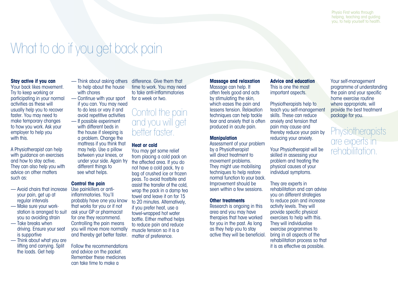## What to do if you get back pain

#### **Stay active if you can**

Your back likes movement. Try to keep working or participating in your normal activities as these will usually help you to recover faster. You may need to make temporary changes to how you work. Ask your employer to help you with this.

A Physiotherapist can help with guidance on exercises and how to stay active. They can also help you with advice on other matters such as:

- Avoid chairs that increase your pain, get up at regular intervals
- Make sure your workstation is arranged to suit you so avoiding strain
- Take breaks when driving. Ensure your seat is supportive
- Think about what you are lifting and carrying. Split the loads. Get help
- Think about asking others to help about the house with chores
- Continue with your sport if you can. You may need to do less or vary it and avoid repetitive activities
- If possible experiment with different beds in the house if sleeping is a problem. Change the mattress if you think that may help. Use a pillow between your knees, or under your side. Again try different things to see what helps.

#### **Control the pain**

Use painkillers or antiinflammatories. You'll probably have one you know that works for you or if not ask your GP or pharmacist for one they recommend. Controlling the pain means you will move more normally and thereby get better faster.

Follow the recommendations and advice on the packet. Remember these medicines can take time to make a

difference. Give them that time to work. You may need to take anti-inflammatories for a week or two.

### Control the pain and you will get better faster.

#### **Heat or cold**

You may get some relief from placing a cold pack on the affected area. If you do not have a cold pack, try a bag of crushed ice or frozen peas. To avoid frostbite and assist the transfer of the cold, wrap the pack in a damp tea towel and leave it on for 15 to 20 minutes. Alternatively, if you prefer heat, use a towel-wrapped hot water bottle. Either method helps to reduce pain and reduce muscle tension so it is a matter of preference.

**Massage and relaxation**

Massage can help. It often feels good and acts by stimulating the skin, which eases the pain and lessens tension. Relaxation techniques can help tackle fear and anxiety that is often produced in acute pain.

#### **Manipulation**

Assessment of your problem by a Physiotherapist will direct treatment to movement problems. They might use mobilising techniques to help restore normal function to your back. Improvement should be seen within a few sessions.

#### **Other treatments**

Research is ongoing in this area and you may have therapies that have worked for you in the past. As long as they help you to stay active they will be beneficial.

#### **Advice and education** This is one the most important aspects.

Physiotherapists help to teach you self-management skills. These can reduce anxiety and tension that pain may cause and thereby reduce your pain by reducing your anxiety.

Your Physiotherapist will be skilled in assessing your problem and treating the physical causes of your individual symptoms.

They are experts in rehabilitation and can advise you on different strategies to reduce pain and increase activity levels. They will provide specific physical exercises to help with this. They will individualise exercise programmes to bring in all aspects of the rehabilitation process so that it is as effective as possible.

Your self-management programme of understanding the pain and your specific home exercise routine where appropriate, will provide the best treatment package for you.

### **Physiotherapists** are experts in rehabilitation.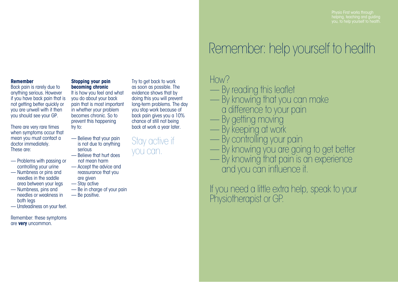Physio First works through helping, teaching and guiding you, to help yourself to health.

#### **Remember**

Back pain is rarely due to anything serious. However if you have back pain that is not getting better quickly or you are unwell with it then you should see your GP.

There are very rare times when symptoms occur that mean you must contact a doctor immediately. These are:

- Problems with passing or controlling your urine
- Numbness or pins and needles in the saddle area between your legs
- Numbness, pins and needles or weakness in both legs
- Unsteadiness on your feet.

Remember: these symptoms are **very** uncommon.

#### **Stopping your pain becoming chronic**

It is how you feel and what you do about your back pain that is most important in whether your problem becomes chronic. So to prevent this happening try to:

- Believe that your pain is not due to anything serious
- Believe that hurt does not mean harm
- Accept the advice and reassurance that you are given
- Stay active
- Be in charge of your pain
- Be positive.

Try to get back to work as soon as possible. The evidence shows that by doing this you will prevent long-term problems. The day you stop work because of back pain gives you a 10% chance of still not being back at work a year later.

Stay active if you can.

## Remember: help yourself to health

### HOW?

- By reading this leaflet
- By knowing that you can make a difference to your pain
- By getting moving
- By keeping at work
- By controlling your pain
- By knowing you are going to get better
- By knowing that pain is an experience and you can influence it.

If you need a little extra help, speak to your Physiotherapist or GP.